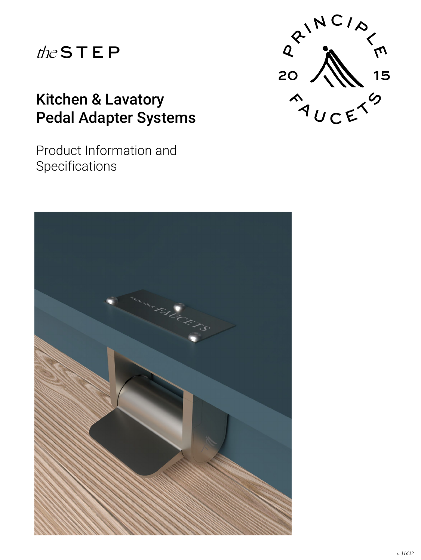# the S T E P

## Kitchen & Lavatory Pedal Adapter Systems

Product Information and **Specifications** 



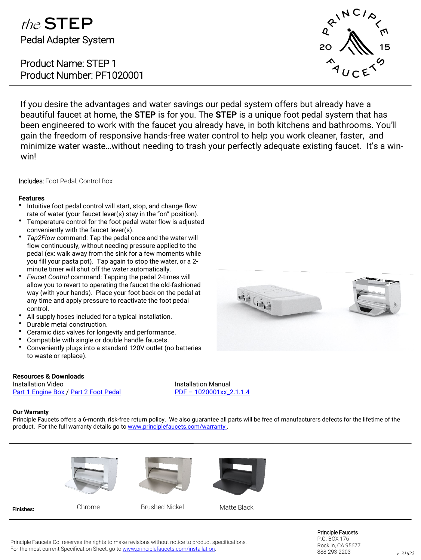### the STEP Pedal Adapter System

Product Name: STEP 1 Product Number: PF1020001



If you desire the advantages and water savings our pedal system offers but already have a beautiful faucet at home, the **STEP** is for you. The **STEP** is a unique foot pedal system that has been engineered to work with the faucet you already have, in both kitchens and bathrooms. You'll gain the freedom of responsive hands-free water control to help you work cleaner, faster, and minimize water waste…without needing to trash your perfectly adequate existing faucet. It's a winwin!

Includes: Foot Pedal, Control Box

### **Features**

- Intuitive foot pedal control will start, stop, and change flow rate of water (your faucet lever(s) stay in the "on" position).
- Temperature control for the foot pedal water flow is adjusted conveniently with the faucet lever(s).
- *Tap2Flow c*ommand: Tap the pedal once and the water will flow continuously, without needing pressure applied to the pedal (ex: walk away from the sink for a few moments while you fill your pasta pot). Tap again to stop the water, or a 2 minute timer will shut off the water automatically.
- *Faucet Control* command: Tapping the pedal 2-times will allow you to revert to operating the faucet the old-fashioned way (with your hands). Place your foot back on the pedal at any time and apply pressure to reactivate the foot pedal control.
- All supply hoses included for a typical installation.
- Durable metal construction.
- Ceramic disc valves for longevity and performance.
- Compatible with single or double handle faucets.
- Conveniently plugs into a standard 120V outlet (no batteries to waste or replace).

### **Resources & Downloads**

Installation Video [Part 1 Engine Box /](https://youtu.be/onK_PpWgFxM) [Part 2 Foot Pedal](https://youtu.be/b6Br2lDCHzQ) Installation Manual PDF – [1020001xx\\_2.1.1.4](https://f4e0a754-7af9-4683-9d6e-272832821de8.usrfiles.com/ugd/f4e0a7_c58219b4ed3149029265ff327b902cbd.pdf)

### **Our Warranty**

Principle Faucets offers a 6-month, risk-free return policy. We also guarantee all parts will be free of manufacturers defects for the lifetime of the product. For the full warranty details go to www.principlefaucets.com/warranty.









**Finishes:**

Chrome **Brushed Nickel** Matte Black

Principle Faucets Co. reserves the rights to make revisions without notice to product specifications. For the most current Specification Sheet, go to [www.principlefaucets.com/installation](http://www.principlefaucets.com/installation).

Principle Faucets P.O. BOX 176 Rocklin, CA 95677 888-293-2203